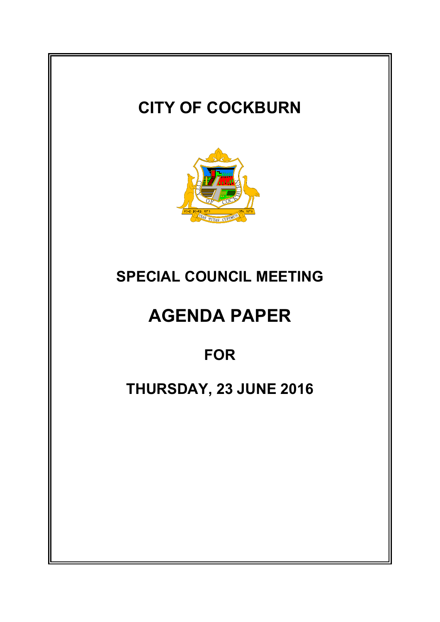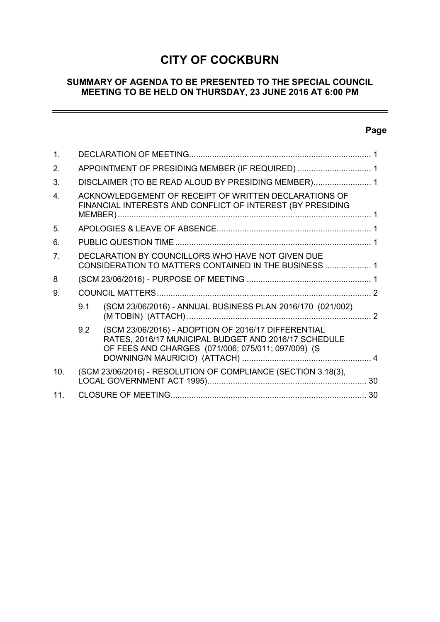## **CITY OF COCKBURN**

## **SUMMARY OF AGENDA TO BE PRESENTED TO THE SPECIAL COUNCIL MEETING TO BE HELD ON THURSDAY, 23 JUNE 2016 AT 6:00 PM**

## **Page**

ц,

| 1.              |                                                     |                                                                                                                                                                   |  |  |  |
|-----------------|-----------------------------------------------------|-------------------------------------------------------------------------------------------------------------------------------------------------------------------|--|--|--|
| 2.              | APPOINTMENT OF PRESIDING MEMBER (IF REQUIRED)  1    |                                                                                                                                                                   |  |  |  |
| 3.              | DISCLAIMER (TO BE READ ALOUD BY PRESIDING MEMBER) 1 |                                                                                                                                                                   |  |  |  |
| $\mathbf{4}$    |                                                     | ACKNOWLEDGEMENT OF RECEIPT OF WRITTEN DECLARATIONS OF<br>FINANCIAL INTERESTS AND CONFLICT OF INTEREST (BY PRESIDING                                               |  |  |  |
| 5.              |                                                     |                                                                                                                                                                   |  |  |  |
| 6.              |                                                     |                                                                                                                                                                   |  |  |  |
| 7 <sub>1</sub>  |                                                     | DECLARATION BY COUNCILLORS WHO HAVE NOT GIVEN DUE<br>CONSIDERATION TO MATTERS CONTAINED IN THE BUSINESS  1                                                        |  |  |  |
| 8               |                                                     |                                                                                                                                                                   |  |  |  |
| 9.              |                                                     |                                                                                                                                                                   |  |  |  |
|                 | 9.1                                                 | (SCM 23/06/2016) - ANNUAL BUSINESS PLAN 2016/170 (021/002)                                                                                                        |  |  |  |
|                 | 9.2                                                 | (SCM 23/06/2016) - ADOPTION OF 2016/17 DIFFERENTIAL<br>RATES, 2016/17 MUNICIPAL BUDGET AND 2016/17 SCHEDULE<br>OF FEES AND CHARGES (071/006; 075/011; 097/009) (S |  |  |  |
| 10.             |                                                     | (SCM 23/06/2016) - RESOLUTION OF COMPLIANCE (SECTION 3.18(3),                                                                                                     |  |  |  |
| 11 <sub>1</sub> |                                                     |                                                                                                                                                                   |  |  |  |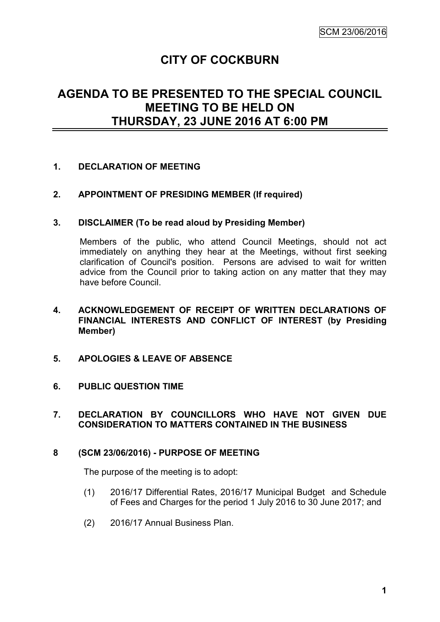# **CITY OF COCKBURN**

## **AGENDA TO BE PRESENTED TO THE SPECIAL COUNCIL MEETING TO BE HELD ON THURSDAY, 23 JUNE 2016 AT 6:00 PM**

## **1. DECLARATION OF MEETING**

## **2. APPOINTMENT OF PRESIDING MEMBER (If required)**

#### **3. DISCLAIMER (To be read aloud by Presiding Member)**

Members of the public, who attend Council Meetings, should not act immediately on anything they hear at the Meetings, without first seeking clarification of Council's position. Persons are advised to wait for written advice from the Council prior to taking action on any matter that they may have before Council.

## **4. ACKNOWLEDGEMENT OF RECEIPT OF WRITTEN DECLARATIONS OF FINANCIAL INTERESTS AND CONFLICT OF INTEREST (by Presiding Member)**

- **5. APOLOGIES & LEAVE OF ABSENCE**
- **6. PUBLIC QUESTION TIME**

#### **7. DECLARATION BY COUNCILLORS WHO HAVE NOT GIVEN DUE CONSIDERATION TO MATTERS CONTAINED IN THE BUSINESS**

#### **8 (SCM 23/06/2016) - PURPOSE OF MEETING**

The purpose of the meeting is to adopt:

- (1) 2016/17 Differential Rates, 2016/17 Municipal Budget and Schedule of Fees and Charges for the period 1 July 2016 to 30 June 2017; and
- (2) 2016/17 Annual Business Plan.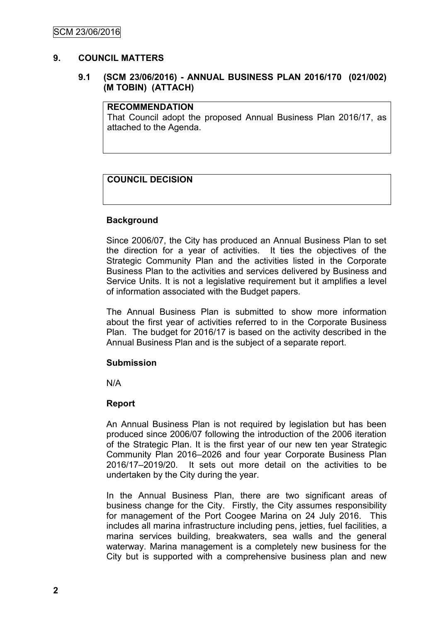## **9. COUNCIL MATTERS**

## **9.1 (SCM 23/06/2016) - ANNUAL BUSINESS PLAN 2016/170 (021/002) (M TOBIN) (ATTACH)**

#### **RECOMMENDATION**

That Council adopt the proposed Annual Business Plan 2016/17, as attached to the Agenda.

## **COUNCIL DECISION**

## **Background**

Since 2006/07, the City has produced an Annual Business Plan to set the direction for a year of activities. It ties the objectives of the Strategic Community Plan and the activities listed in the Corporate Business Plan to the activities and services delivered by Business and Service Units. It is not a legislative requirement but it amplifies a level of information associated with the Budget papers.

The Annual Business Plan is submitted to show more information about the first year of activities referred to in the Corporate Business Plan. The budget for 2016/17 is based on the activity described in the Annual Business Plan and is the subject of a separate report.

#### **Submission**

N/A

#### **Report**

An Annual Business Plan is not required by legislation but has been produced since 2006/07 following the introduction of the 2006 iteration of the Strategic Plan. It is the first year of our new ten year Strategic Community Plan 2016–2026 and four year Corporate Business Plan 2016/17–2019/20. It sets out more detail on the activities to be undertaken by the City during the year.

In the Annual Business Plan, there are two significant areas of business change for the City. Firstly, the City assumes responsibility for management of the Port Coogee Marina on 24 July 2016. This includes all marina infrastructure including pens, jetties, fuel facilities, a marina services building, breakwaters, sea walls and the general waterway. Marina management is a completely new business for the City but is supported with a comprehensive business plan and new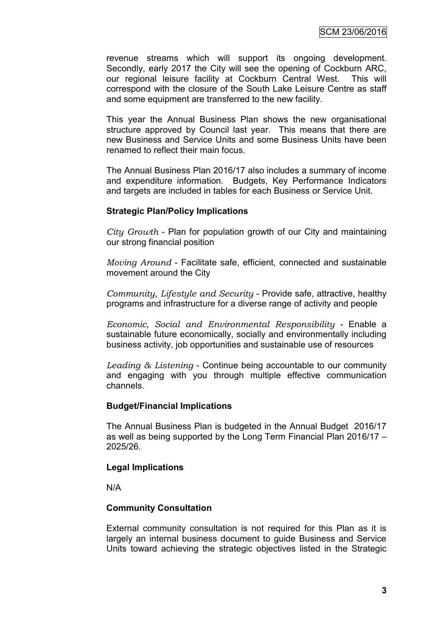revenue streams which will support its ongoing development. Secondly, early 2017 the City will see the opening of Cockburn ARC, our regional leisure facility at Cockburn Central West. This will correspond with the closure of the South Lake Leisure Centre as staff and some equipment are transferred to the new facility.

This year the Annual Business Plan shows the new organisational structure approved by Council last year. This means that there are new Business and Service Units and some Business Units have been renamed to reflect their main focus.

The Annual Business Plan 2016/17 also includes a summary of income and expenditure information. Budgets, Key Performance Indicators and targets are included in tables for each Business or Service Unit.

## **Strategic Plan/Policy Implications**

*City Growth* - Plan for population growth of our City and maintaining our strong financial position

*Moving Around* - Facilitate safe, efficient, connected and sustainable movement around the City

*Community, Lifestyle and Security* - Provide safe, attractive, healthy programs and infrastructure for a diverse range of activity and people

*Economic, Social and Environmental Responsibility* - Enable a sustainable future economically, socially and environmentally including business activity, job opportunities and sustainable use of resources

*Leading & Listening* - Continue being accountable to our community and engaging with you through multiple effective communication channels.

## **Budget/Financial Implications**

The Annual Business Plan is budgeted in the Annual Budget 2016/17 as well as being supported by the Long Term Financial Plan 2016/17 – 2025/26.

## **Legal Implications**

N/A

## **Community Consultation**

External community consultation is not required for this Plan as it is largely an internal business document to guide Business and Service Units toward achieving the strategic objectives listed in the Strategic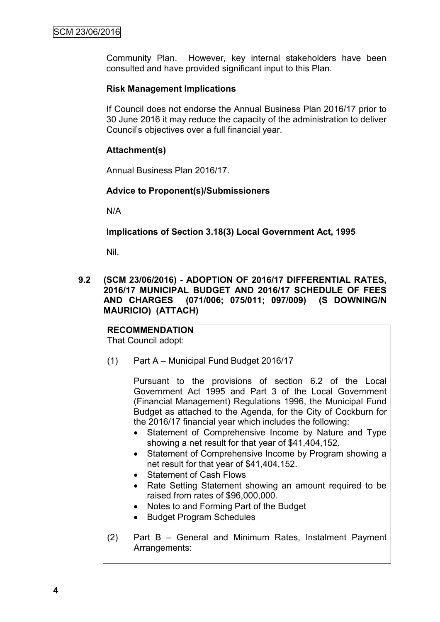Community Plan. However, key internal stakeholders have been consulted and have provided significant input to this Plan.

## **Risk Management Implications**

If Council does not endorse the Annual Business Plan 2016/17 prior to 30 June 2016 it may reduce the capacity of the administration to deliver Council's objectives over a full financial year.

## **Attachment(s)**

Annual Business Plan 2016/17.

## **Advice to Proponent(s)/Submissioners**

N/A

**Implications of Section 3.18(3) Local Government Act, 1995**

Nil.

**9.2 (SCM 23/06/2016) - ADOPTION OF 2016/17 DIFFERENTIAL RATES, 2016/17 MUNICIPAL BUDGET AND 2016/17 SCHEDULE OF FEES AND CHARGES (071/006; 075/011; 097/009) (S DOWNING/N MAURICIO) (ATTACH)**

# **RECOMMENDATION**

That Council adopt:

(1) Part A – Municipal Fund Budget 2016/17

Pursuant to the provisions of section 6.2 of the Local Government Act 1995 and Part 3 of the Local Government (Financial Management) Regulations 1996, the Municipal Fund Budget as attached to the Agenda, for the City of Cockburn for the 2016/17 financial year which includes the following:

- Statement of Comprehensive Income by Nature and Type showing a net result for that year of \$41,404,152.
- Statement of Comprehensive Income by Program showing a net result for that year of \$41,404,152.
- Statement of Cash Flows
- Rate Setting Statement showing an amount required to be raised from rates of \$96,000,000.
- Notes to and Forming Part of the Budget
- Budget Program Schedules
- (2) Part B General and Minimum Rates, Instalment Payment Arrangements: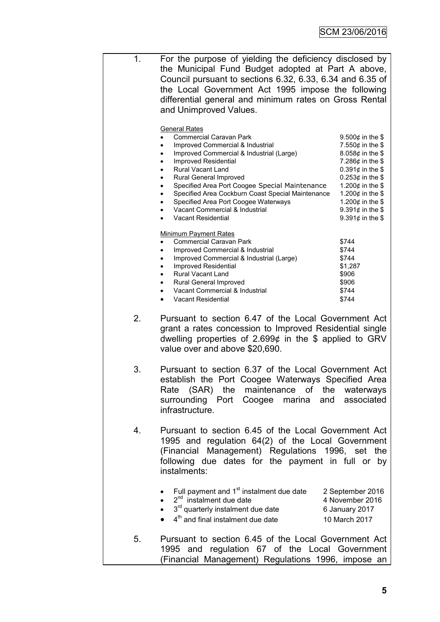| 1. | For the purpose of yielding the deficiency disclosed by<br>the Municipal Fund Budget adopted at Part A above,<br>Council pursuant to sections 6.32, 6.33, 6.34 and 6.35 of<br>the Local Government Act 1995 impose the following<br>differential general and minimum rates on Gross Rental<br>and Unimproved Values.                                                                                                                                                                                   |                                                                                                                                                                                                                                                           |  |  |
|----|--------------------------------------------------------------------------------------------------------------------------------------------------------------------------------------------------------------------------------------------------------------------------------------------------------------------------------------------------------------------------------------------------------------------------------------------------------------------------------------------------------|-----------------------------------------------------------------------------------------------------------------------------------------------------------------------------------------------------------------------------------------------------------|--|--|
|    | <b>General Rates</b><br><b>Commercial Caravan Park</b><br>Improved Commercial & Industrial<br>Improved Commercial & Industrial (Large)<br>٠<br>Improved Residential<br>$\bullet$<br>Rural Vacant Land<br>$\bullet$<br>Rural General Improved<br>٠<br>Specified Area Port Coogee Special Maintenance<br>$\bullet$<br>Specified Area Cockburn Coast Special Maintenance<br>Specified Area Port Coogee Waterways<br>$\bullet$<br>Vacant Commercial & Industrial<br>$\bullet$<br><b>Vacant Residential</b> | 9.500 $¢$ in the \$<br>7.550 $¢$ in the \$<br>8.058¢ in the \$<br>7.286 $¢$ in the \$<br>0.391 $¢$ in the \$<br>0.253 $\phi$ in the \$<br>1.200 $¢$ in the \$<br>1.200 $¢$ in the \$<br>1.200 $¢$ in the \$<br>9.391 $¢$ in the \$<br>9.391 $¢$ in the \$ |  |  |
|    | <b>Minimum Payment Rates</b><br><b>Commercial Caravan Park</b><br>Improved Commercial & Industrial<br>$\bullet$<br>Improved Commercial & Industrial (Large)<br>Improved Residential<br><b>Rural Vacant Land</b><br>٠<br>Rural General Improved<br>Vacant Commercial & Industrial<br><b>Vacant Residential</b><br>$\bullet$                                                                                                                                                                             | \$744<br>\$744<br>\$744<br>\$1,287<br>\$906<br>\$906<br>\$744<br>\$744                                                                                                                                                                                    |  |  |
| 2. | Pursuant to section 6.47 of the Local Government Act<br>grant a rates concession to Improved Residential single<br>dwelling properties of 2.699 $\phi$ in the \$ applied to GRV<br>value over and above \$20,690.                                                                                                                                                                                                                                                                                      |                                                                                                                                                                                                                                                           |  |  |
| 3. | Pursuant to section 6.37 of the Local Government Act<br>establish the Port Coogee Waterways Specified Area<br>Rate (SAR) the maintenance of the waterways<br>surrounding Port Coogee marina and associated<br>infrastructure.                                                                                                                                                                                                                                                                          |                                                                                                                                                                                                                                                           |  |  |
| 4. | Pursuant to section 6.45 of the Local Government Act<br>1995 and regulation 64(2) of the Local Government<br>(Financial Management) Regulations 1996, set the<br>following due dates for the payment in full or by<br>instalments:                                                                                                                                                                                                                                                                     |                                                                                                                                                                                                                                                           |  |  |
|    | Full payment and 1 <sup>st</sup> instalment due date<br>$2nd$ instalment due date<br>3 <sup>rd</sup> quarterly instalment due date<br>4 <sup>th</sup> and final instalment due date                                                                                                                                                                                                                                                                                                                    | 2 September 2016<br>4 November 2016<br>6 January 2017<br>10 March 2017                                                                                                                                                                                    |  |  |
| 5. | Pursuant to section 6.45 of the Local Government Act<br>1995 and regulation 67 of the Local Government                                                                                                                                                                                                                                                                                                                                                                                                 |                                                                                                                                                                                                                                                           |  |  |

(Financial Management) Regulations 1996, impose an

**5**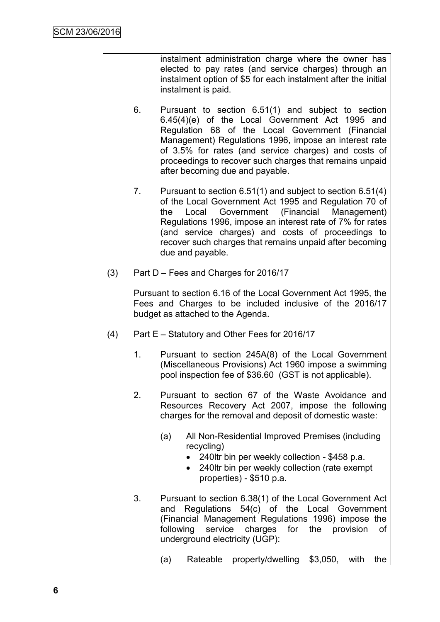instalment administration charge where the owner has elected to pay rates (and service charges) through an instalment option of \$5 for each instalment after the initial instalment is paid.

- 6. Pursuant to section 6.51(1) and subject to section 6.45(4)(e) of the Local Government Act 1995 and Regulation 68 of the Local Government (Financial Management) Regulations 1996, impose an interest rate of 3.5% for rates (and service charges) and costs of proceedings to recover such charges that remains unpaid after becoming due and payable.
- 7. Pursuant to section 6.51(1) and subject to section 6.51(4) of the Local Government Act 1995 and Regulation 70 of the Local Government (Financial Management) Regulations 1996, impose an interest rate of 7% for rates (and service charges) and costs of proceedings to recover such charges that remains unpaid after becoming due and payable.
- (3) Part D Fees and Charges for 2016/17

Pursuant to section 6.16 of the Local Government Act 1995, the Fees and Charges to be included inclusive of the 2016/17 budget as attached to the Agenda.

- (4) Part E Statutory and Other Fees for 2016/17
	- 1. Pursuant to section 245A(8) of the Local Government (Miscellaneous Provisions) Act 1960 impose a swimming pool inspection fee of \$36.60 (GST is not applicable).
	- 2. Pursuant to section 67 of the Waste Avoidance and Resources Recovery Act 2007, impose the following charges for the removal and deposit of domestic waste:
		- (a) All Non-Residential Improved Premises (including recycling)
			- 240ltr bin per weekly collection \$458 p.a.
			- 240ltr bin per weekly collection (rate exempt properties) - \$510 p.a.
	- 3. Pursuant to section 6.38(1) of the Local Government Act and Regulations 54(c) of the Local Government (Financial Management Regulations 1996) impose the following service charges for the provision of underground electricity (UGP):

(a) Rateable property/dwelling \$3,050, with the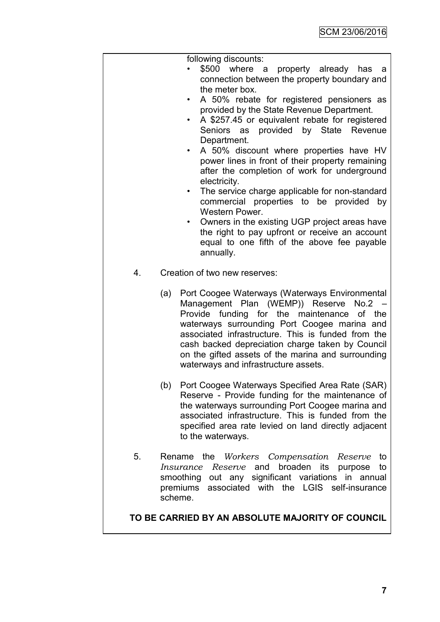|    | following discounts:<br>\$500 where a property already has<br>- a<br>connection between the property boundary and<br>the meter box.<br>A 50% rebate for registered pensioners as<br>provided by the State Revenue Department.<br>A \$257.45 or equivalent rebate for registered<br>٠<br>Seniors as provided by State Revenue<br>Department.<br>A 50% discount where properties have HV<br>$\bullet$<br>power lines in front of their property remaining<br>after the completion of work for underground<br>electricity.<br>The service charge applicable for non-standard<br>٠<br>commercial properties to be provided by<br>Western Power.<br>Owners in the existing UGP project areas have<br>$\bullet$<br>the right to pay upfront or receive an account<br>equal to one fifth of the above fee payable<br>annually. |
|----|-------------------------------------------------------------------------------------------------------------------------------------------------------------------------------------------------------------------------------------------------------------------------------------------------------------------------------------------------------------------------------------------------------------------------------------------------------------------------------------------------------------------------------------------------------------------------------------------------------------------------------------------------------------------------------------------------------------------------------------------------------------------------------------------------------------------------|
| 4. | Creation of two new reserves:                                                                                                                                                                                                                                                                                                                                                                                                                                                                                                                                                                                                                                                                                                                                                                                           |
|    | Port Coogee Waterways (Waterways Environmental<br>(a)<br>Management Plan (WEMP)) Reserve<br>No.2<br>Provide<br>funding for the maintenance<br>of the<br>waterways surrounding Port Coogee marina and<br>associated infrastructure. This is funded from the<br>cash backed depreciation charge taken by Council<br>on the gifted assets of the marina and surrounding<br>waterways and infrastructure assets.                                                                                                                                                                                                                                                                                                                                                                                                            |
|    | Port Coogee Waterways Specified Area Rate (SAR)<br>(b)<br>Reserve - Provide funding for the maintenance of<br>the waterways surrounding Port Coogee marina and<br>associated infrastructure. This is funded from the<br>specified area rate levied on land directly adjacent<br>to the waterways.                                                                                                                                                                                                                                                                                                                                                                                                                                                                                                                       |
| 5. | Rename the Workers Compensation<br>Reserve<br>to<br>broaden its<br>and<br>Reserve<br>purpose<br>to<br>Insurance<br>out any significant variations<br>smoothing<br>in annual<br>associated with the<br>LGIS<br>self-insurance<br>premiums<br>scheme.                                                                                                                                                                                                                                                                                                                                                                                                                                                                                                                                                                     |
|    | TO BE CARRIED BY AN ABSOLUTE MAJORITY OF COUNCIL                                                                                                                                                                                                                                                                                                                                                                                                                                                                                                                                                                                                                                                                                                                                                                        |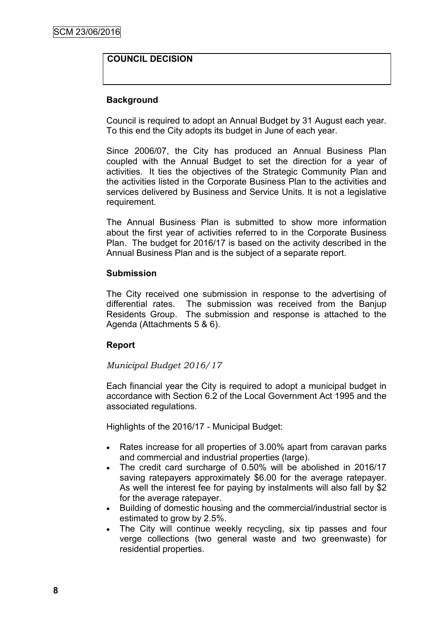## **COUNCIL DECISION**

## **Background**

Council is required to adopt an Annual Budget by 31 August each year. To this end the City adopts its budget in June of each year.

Since 2006/07, the City has produced an Annual Business Plan coupled with the Annual Budget to set the direction for a year of activities. It ties the objectives of the Strategic Community Plan and the activities listed in the Corporate Business Plan to the activities and services delivered by Business and Service Units. It is not a legislative requirement.

The Annual Business Plan is submitted to show more information about the first year of activities referred to in the Corporate Business Plan. The budget for 2016/17 is based on the activity described in the Annual Business Plan and is the subject of a separate report.

## **Submission**

The City received one submission in response to the advertising of differential rates. The submission was received from the Banjup Residents Group. The submission and response is attached to the Agenda (Attachments 5 & 6).

## **Report**

## *Municipal Budget 2016/17*

Each financial year the City is required to adopt a municipal budget in accordance with Section 6.2 of the Local Government Act 1995 and the associated regulations.

Highlights of the 2016/17 - Municipal Budget:

- Rates increase for all properties of 3.00% apart from caravan parks and commercial and industrial properties (large).
- The credit card surcharge of 0.50% will be abolished in 2016/17 saving ratepayers approximately \$6.00 for the average ratepayer. As well the interest fee for paying by instalments will also fall by \$2 for the average ratepayer.
- Building of domestic housing and the commercial/industrial sector is estimated to grow by 2.5%.
- The City will continue weekly recycling, six tip passes and four verge collections (two general waste and two greenwaste) for residential properties.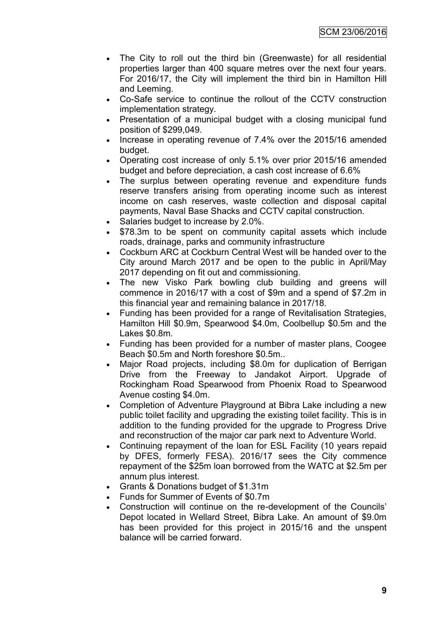- The City to roll out the third bin (Greenwaste) for all residential properties larger than 400 square metres over the next four years. For 2016/17, the City will implement the third bin in Hamilton Hill and Leeming.
- Co-Safe service to continue the rollout of the CCTV construction implementation strategy.
- Presentation of a municipal budget with a closing municipal fund position of \$299,049.
- Increase in operating revenue of 7.4% over the 2015/16 amended budget.
- Operating cost increase of only 5.1% over prior 2015/16 amended budget and before depreciation, a cash cost increase of 6.6%
- The surplus between operating revenue and expenditure funds reserve transfers arising from operating income such as interest income on cash reserves, waste collection and disposal capital payments, Naval Base Shacks and CCTV capital construction.
- Salaries budget to increase by 2.0%.
- \$78.3m to be spent on community capital assets which include roads, drainage, parks and community infrastructure
- Cockburn ARC at Cockburn Central West will be handed over to the City around March 2017 and be open to the public in April/May 2017 depending on fit out and commissioning.
- The new Visko Park bowling club building and greens will commence in 2016/17 with a cost of \$9m and a spend of \$7.2m in this financial year and remaining balance in 2017/18.
- Funding has been provided for a range of Revitalisation Strategies, Hamilton Hill \$0.9m, Spearwood \$4.0m, Coolbellup \$0.5m and the Lakes \$0.8m.
- Funding has been provided for a number of master plans, Coogee Beach \$0.5m and North foreshore \$0.5m..
- Major Road projects, including \$8.0m for duplication of Berrigan Drive from the Freeway to Jandakot Airport. Upgrade of Rockingham Road Spearwood from Phoenix Road to Spearwood Avenue costing \$4.0m.
- Completion of Adventure Playground at Bibra Lake including a new public toilet facility and upgrading the existing toilet facility. This is in addition to the funding provided for the upgrade to Progress Drive and reconstruction of the major car park next to Adventure World.
- Continuing repayment of the loan for ESL Facility (10 years repaid by DFES, formerly FESA). 2016/17 sees the City commence repayment of the \$25m loan borrowed from the WATC at \$2.5m per annum plus interest.
- Grants & Donations budget of \$1.31m
- Funds for Summer of Events of \$0.7m
- Construction will continue on the re-development of the Councils' Depot located in Wellard Street, Bibra Lake. An amount of \$9.0m has been provided for this project in 2015/16 and the unspent balance will be carried forward.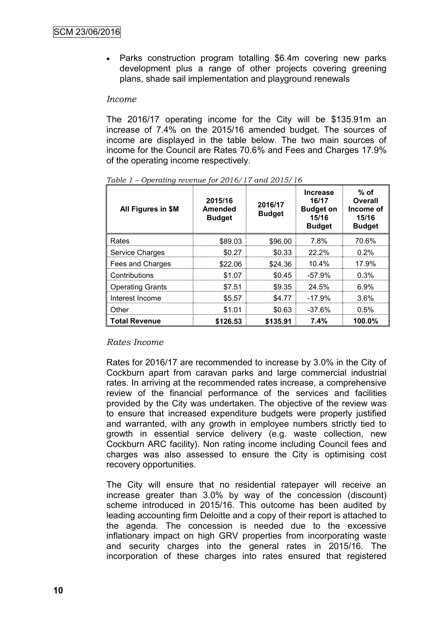• Parks construction program totalling \$6.4m covering new parks development plus a range of other projects covering greening plans, shade sail implementation and playground renewals

#### *Income*

The 2016/17 operating income for the City will be \$135.91m an increase of 7.4% on the 2015/16 amended budget. The sources of income are displayed in the table below. The two main sources of income for the Council are Rates 70.6% and Fees and Charges 17.9% of the operating income respectively.

| All Figures in \$M      | 2015/16<br>Amended<br><b>Budget</b> | 2016/17<br><b>Budget</b> | <b>Increase</b><br>16/17<br><b>Budget on</b><br>15/16<br><b>Budget</b> | $%$ of<br>Overall<br>Income of<br>15/16<br><b>Budget</b> |
|-------------------------|-------------------------------------|--------------------------|------------------------------------------------------------------------|----------------------------------------------------------|
| Rates                   | \$89.03                             | \$96.00                  | 7.8%                                                                   | 70.6%                                                    |
| Service Charges         | \$0.27                              | \$0.33                   | $22.2\%$                                                               | $0.2\%$                                                  |
| Fees and Charges        | \$22.06                             | \$24.36                  | $10.4\%$                                                               | 17.9%                                                    |
| Contributions           | \$1.07                              | \$0.45                   | $-57.9%$                                                               | 0.3%                                                     |
| <b>Operating Grants</b> | \$7.51                              | \$9.35                   | 24.5%                                                                  | 6.9%                                                     |
| Interest Income         | \$5.57                              | \$4.77                   | $-17.9%$                                                               | 3.6%                                                     |
| Other                   | \$1.01                              | \$0.63                   | $-37.6%$                                                               | 0.5%                                                     |
| <b>Total Revenue</b>    | \$126.53                            | \$135.91                 | 7.4%                                                                   | 100.0%                                                   |

*Table 1 – Operating revenue for 2016/17 and 2015/16*

## *Rates Income*

Rates for 2016/17 are recommended to increase by 3.0% in the City of Cockburn apart from caravan parks and large commercial industrial rates. In arriving at the recommended rates increase, a comprehensive review of the financial performance of the services and facilities provided by the City was undertaken. The objective of the review was to ensure that increased expenditure budgets were properly justified and warranted, with any growth in employee numbers strictly tied to growth in essential service delivery (e.g. waste collection, new Cockburn ARC facility). Non rating income including Council fees and charges was also assessed to ensure the City is optimising cost recovery opportunities.

The City will ensure that no residential ratepayer will receive an increase greater than 3.0% by way of the concession (discount) scheme introduced in 2015/16. This outcome has been audited by leading accounting firm Deloitte and a copy of their report is attached to the agenda. The concession is needed due to the excessive inflationary impact on high GRV properties from incorporating waste and security charges into the general rates in 2015/16. The incorporation of these charges into rates ensured that registered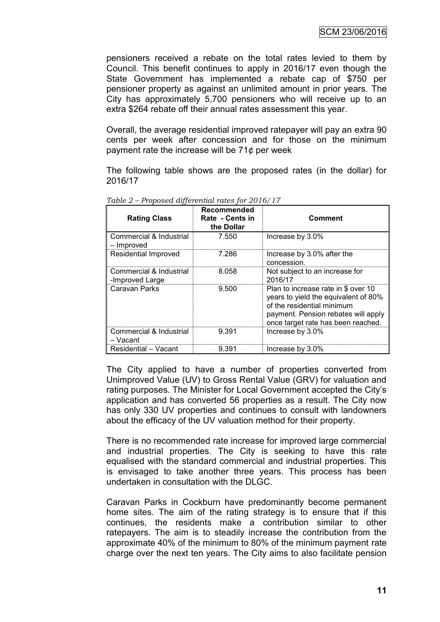pensioners received a rebate on the total rates levied to them by Council. This benefit continues to apply in 2016/17 even though the State Government has implemented a rebate cap of \$750 per pensioner property as against an unlimited amount in prior years. The City has approximately 5,700 pensioners who will receive up to an extra \$264 rebate off their annual rates assessment this year.

Overall, the average residential improved ratepayer will pay an extra 90 cents per week after concession and for those on the minimum payment rate the increase will be 71¢ per week

The following table shows are the proposed rates (in the dollar) for 2016/17

| <b>Rating Class</b>                        | Recommended<br>Rate - Cents in<br>the Dollar | <b>Comment</b>                                                                                                                                                                         |
|--------------------------------------------|----------------------------------------------|----------------------------------------------------------------------------------------------------------------------------------------------------------------------------------------|
| Commercial & Industrial<br>– Improved      | 7.550                                        | Increase by 3.0%                                                                                                                                                                       |
| Residential Improved                       | 7.286                                        | Increase by 3.0% after the<br>concession.                                                                                                                                              |
| Commercial & Industrial<br>-Improved Large | 8.058                                        | Not subject to an increase for<br>2016/17                                                                                                                                              |
| Caravan Parks                              | 9.500                                        | Plan to increase rate in \$ over 10<br>years to yield the equivalent of 80%<br>of the residential minimum<br>payment. Pension rebates will apply<br>once target rate has been reached. |
| Commercial & Industrial<br>– Vacant        | 9.391                                        | Increase by 3.0%                                                                                                                                                                       |
| Residential - Vacant                       | 9.391                                        | Increase by 3.0%                                                                                                                                                                       |

*Table 2 – Proposed differential rates for 2016/17*

The City applied to have a number of properties converted from Unimproved Value (UV) to Gross Rental Value (GRV) for valuation and rating purposes. The Minister for Local Government accepted the City's application and has converted 56 properties as a result. The City now has only 330 UV properties and continues to consult with landowners about the efficacy of the UV valuation method for their property.

There is no recommended rate increase for improved large commercial and industrial properties. The City is seeking to have this rate equalised with the standard commercial and industrial properties. This is envisaged to take another three years. This process has been undertaken in consultation with the DLGC.

Caravan Parks in Cockburn have predominantly become permanent home sites. The aim of the rating strategy is to ensure that if this continues, the residents make a contribution similar to other ratepayers. The aim is to steadily increase the contribution from the approximate 40% of the minimum to 80% of the minimum payment rate charge over the next ten years. The City aims to also facilitate pension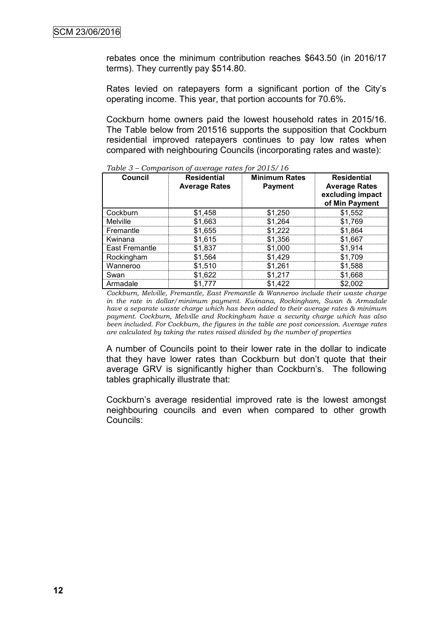rebates once the minimum contribution reaches \$643.50 (in 2016/17 terms). They currently pay \$514.80.

Rates levied on ratepayers form a significant portion of the City's operating income. This year, that portion accounts for 70.6%.

Cockburn home owners paid the lowest household rates in 2015/16. The Table below from 201516 supports the supposition that Cockburn residential improved ratepayers continues to pay low rates when compared with neighbouring Councils (incorporating rates and waste):

| <b>Council</b> | <b>Residential</b><br><b>Average Rates</b> | <b>Minimum Rates</b><br><b>Payment</b> | <b>Residential</b><br><b>Average Rates</b><br>excluding impact<br>of Min Payment |
|----------------|--------------------------------------------|----------------------------------------|----------------------------------------------------------------------------------|
| Cockburn       | \$1,458                                    | \$1,250                                | \$1,552                                                                          |
| Melville       | \$1,663                                    | \$1,264                                | \$1,769                                                                          |
| Fremantle      | \$1,655                                    | \$1,222                                | \$1,864                                                                          |
| Kwinana        | \$1,615                                    | \$1,356                                | \$1,667                                                                          |
| East Fremantle | \$1,837                                    | \$1,000                                | \$1,914                                                                          |
| Rockingham     | \$1,564                                    | \$1,429                                | \$1,709                                                                          |
| Wanneroo       | \$1,510                                    | \$1,261                                | \$1,588                                                                          |
| Swan           | \$1,622                                    | \$1,217                                | \$1,668                                                                          |
| Armadale       | \$1,777                                    | \$1,422                                | \$2,002                                                                          |

*Table 3 – Comparison of average rates for 2015/16*

*Cockburn, Melville, Fremantle, East Fremantle & Wanneroo include their waste charge in the rate in dollar/minimum payment. Kwinana, Rockingham, Swan & Armadale have a separate waste charge which has been added to their average rates & minimum payment. Cockburn, Melville and Rockingham have a security charge which has also been included. For Cockburn, the figures in the table are post concession. Average rates are calculated by taking the rates raised divided by the number of properties*

A number of Councils point to their lower rate in the dollar to indicate that they have lower rates than Cockburn but don't quote that their average GRV is significantly higher than Cockburn's. The following tables graphically illustrate that:

Cockburn's average residential improved rate is the lowest amongst neighbouring councils and even when compared to other growth Councils: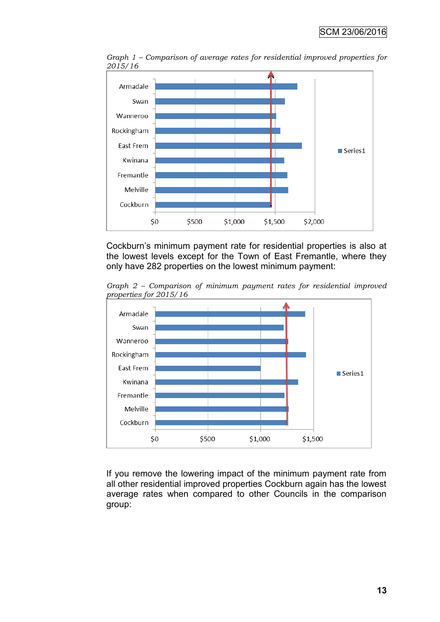

*Graph 1 – Comparison of average rates for residential improved properties for 2015/16*

Cockburn's minimum payment rate for residential properties is also at the lowest levels except for the Town of East Fremantle, where they only have 282 properties on the lowest minimum payment:

*Graph 2 – Comparison of minimum payment rates for residential improved properties for 2015/16*



If you remove the lowering impact of the minimum payment rate from all other residential improved properties Cockburn again has the lowest average rates when compared to other Councils in the comparison group: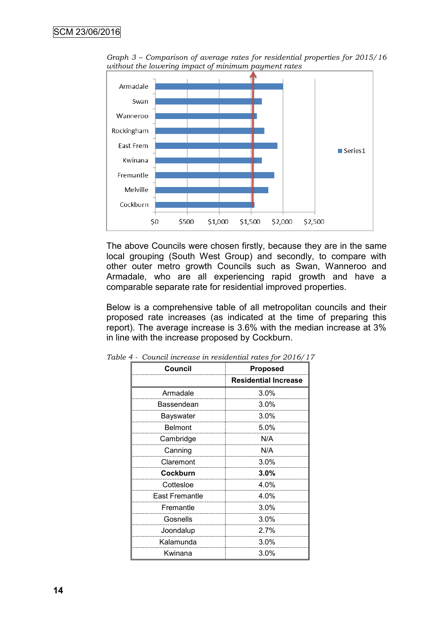

*Graph 3 – Comparison of average rates for residential properties for 2015/16 without the lowering impact of minimum payment rates*

The above Councils were chosen firstly, because they are in the same local grouping (South West Group) and secondly, to compare with other outer metro growth Councils such as Swan, Wanneroo and Armadale, who are all experiencing rapid growth and have a comparable separate rate for residential improved properties.

Below is a comprehensive table of all metropolitan councils and their proposed rate increases (as indicated at the time of preparing this report). The average increase is 3.6% with the median increase at 3% in line with the increase proposed by Cockburn.

| Council               | <b>Proposed</b>             |
|-----------------------|-----------------------------|
|                       | <b>Residential Increase</b> |
| Armadale              | 3.0%                        |
| Bassendean            | 3.0%                        |
| Bayswater             | 3.0%                        |
| <b>Belmont</b>        | 5.0%                        |
| Cambridge             | N/A                         |
| Canning               | N/A                         |
| Claremont             | $3.0\%$                     |
| Cockburn              | 3.0%                        |
| Cottesloe             | 4.0%                        |
| <b>East Fremantle</b> | 4.0%                        |
| Fremantle             | $3.0\%$                     |
| Gosnells              | $3.0\%$                     |
| Joondalup             | 2.7%                        |
| Kalamunda             | 3.0%                        |
| Kwinana               | 3.0%                        |

*Table 4 - Council increase in residential rates for 2016/17*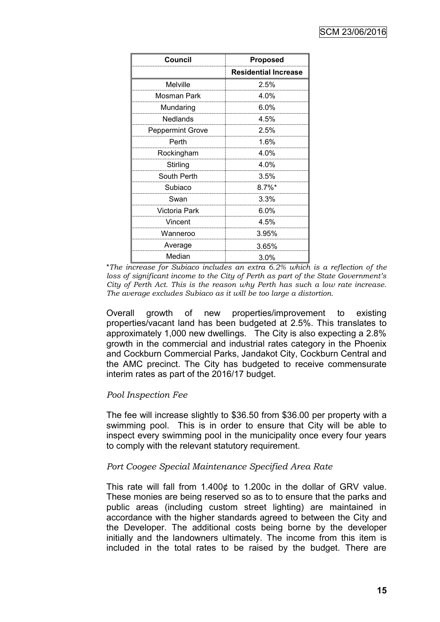| <b>Council</b>          | <b>Proposed</b>             |
|-------------------------|-----------------------------|
|                         | <b>Residential Increase</b> |
| <b>Melville</b>         | 2.5%                        |
| Mosman Park             | 4.0%                        |
| Mundaring               | $6.0\%$                     |
| Nedlands                | 4.5%                        |
| <b>Peppermint Grove</b> | 2.5%                        |
| Perth                   | 1.6%                        |
| Rockingham              | $4.0\%$                     |
| Stirling                | 4.0%                        |
| South Perth             | 3.5%                        |
| Subiaco                 | $8.7\%$ *                   |
| Swan                    | 3.3%                        |
| Victoria Park           | 6.0%                        |
| Vincent                 | 4.5%                        |
| Wanneroo                | 3.95%                       |
| Average                 | 3.65%                       |
| Median                  | 3.0%                        |

\**The increase for Subiaco includes an extra 6.2% which is a reflection of the loss of significant income to the City of Perth as part of the State Government's City of Perth Act. This is the reason why Perth has such a low rate increase. The average excludes Subiaco as it will be too large a distortion.*

Overall growth of new properties/improvement to existing properties/vacant land has been budgeted at 2.5%. This translates to approximately 1,000 new dwellings. The City is also expecting a 2.8% growth in the commercial and industrial rates category in the Phoenix and Cockburn Commercial Parks, Jandakot City, Cockburn Central and the AMC precinct. The City has budgeted to receive commensurate interim rates as part of the 2016/17 budget.

## *Pool Inspection Fee*

The fee will increase slightly to \$36.50 from \$36.00 per property with a swimming pool. This is in order to ensure that City will be able to inspect every swimming pool in the municipality once every four years to comply with the relevant statutory requirement.

## *Port Coogee Special Maintenance Specified Area Rate*

This rate will fall from 1.400¢ to 1.200c in the dollar of GRV value. These monies are being reserved so as to to ensure that the parks and public areas (including custom street lighting) are maintained in accordance with the higher standards agreed to between the City and the Developer. The additional costs being borne by the developer initially and the landowners ultimately. The income from this item is included in the total rates to be raised by the budget. There are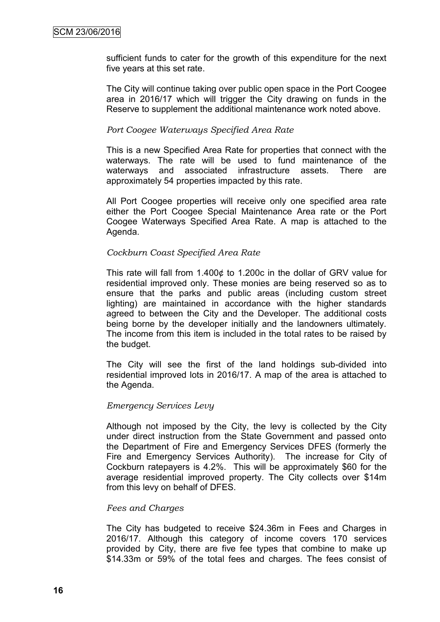sufficient funds to cater for the growth of this expenditure for the next five years at this set rate.

The City will continue taking over public open space in the Port Coogee area in 2016/17 which will trigger the City drawing on funds in the Reserve to supplement the additional maintenance work noted above.

#### *Port Coogee Waterways Specified Area Rate*

This is a new Specified Area Rate for properties that connect with the waterways. The rate will be used to fund maintenance of the waterways and associated infrastructure assets. There are approximately 54 properties impacted by this rate.

All Port Coogee properties will receive only one specified area rate either the Port Coogee Special Maintenance Area rate or the Port Coogee Waterways Specified Area Rate. A map is attached to the Agenda.

#### *Cockburn Coast Specified Area Rate*

This rate will fall from 1.400¢ to 1.200c in the dollar of GRV value for residential improved only. These monies are being reserved so as to ensure that the parks and public areas (including custom street lighting) are maintained in accordance with the higher standards agreed to between the City and the Developer. The additional costs being borne by the developer initially and the landowners ultimately. The income from this item is included in the total rates to be raised by the budget.

The City will see the first of the land holdings sub-divided into residential improved lots in 2016/17. A map of the area is attached to the Agenda.

#### *Emergency Services Levy*

Although not imposed by the City, the levy is collected by the City under direct instruction from the State Government and passed onto the Department of Fire and Emergency Services DFES (formerly the Fire and Emergency Services Authority). The increase for City of Cockburn ratepayers is 4.2%. This will be approximately \$60 for the average residential improved property. The City collects over \$14m from this levy on behalf of DFES.

#### *Fees and Charges*

The City has budgeted to receive \$24.36m in Fees and Charges in 2016/17. Although this category of income covers 170 services provided by City, there are five fee types that combine to make up \$14.33m or 59% of the total fees and charges. The fees consist of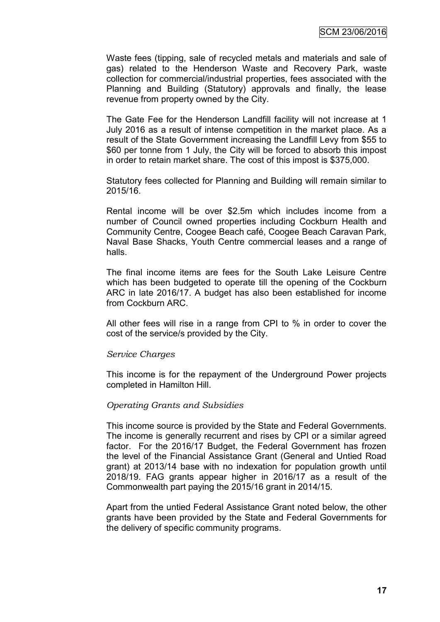Waste fees (tipping, sale of recycled metals and materials and sale of gas) related to the Henderson Waste and Recovery Park, waste collection for commercial/industrial properties, fees associated with the Planning and Building (Statutory) approvals and finally, the lease revenue from property owned by the City.

The Gate Fee for the Henderson Landfill facility will not increase at 1 July 2016 as a result of intense competition in the market place. As a result of the State Government increasing the Landfill Levy from \$55 to \$60 per tonne from 1 July, the City will be forced to absorb this impost in order to retain market share. The cost of this impost is \$375,000.

Statutory fees collected for Planning and Building will remain similar to 2015/16.

Rental income will be over \$2.5m which includes income from a number of Council owned properties including Cockburn Health and Community Centre, Coogee Beach café, Coogee Beach Caravan Park, Naval Base Shacks, Youth Centre commercial leases and a range of halls.

The final income items are fees for the South Lake Leisure Centre which has been budgeted to operate till the opening of the Cockburn ARC in late 2016/17. A budget has also been established for income from Cockburn ARC.

All other fees will rise in a range from CPI to % in order to cover the cost of the service/s provided by the City.

## *Service Charges*

This income is for the repayment of the Underground Power projects completed in Hamilton Hill.

## *Operating Grants and Subsidies*

This income source is provided by the State and Federal Governments. The income is generally recurrent and rises by CPI or a similar agreed factor. For the 2016/17 Budget, the Federal Government has frozen the level of the Financial Assistance Grant (General and Untied Road grant) at 2013/14 base with no indexation for population growth until 2018/19. FAG grants appear higher in 2016/17 as a result of the Commonwealth part paying the 2015/16 grant in 2014/15.

Apart from the untied Federal Assistance Grant noted below, the other grants have been provided by the State and Federal Governments for the delivery of specific community programs.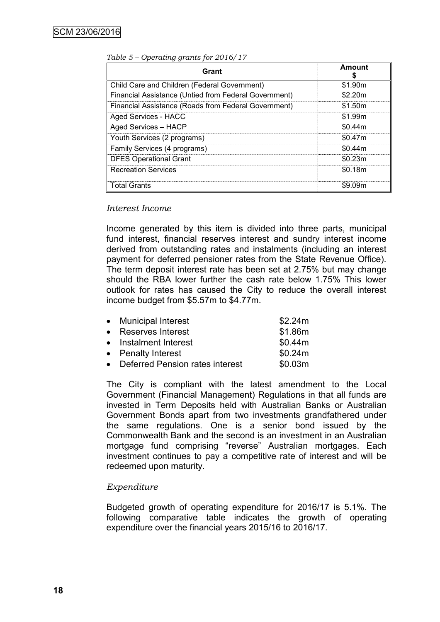| Grant                                                 | <b>Amount</b> |
|-------------------------------------------------------|---------------|
| Child Care and Children (Federal Government)          | \$1.90m       |
| Financial Assistance (Untied from Federal Government) | \$2.20m       |
| Financial Assistance (Roads from Federal Government)  | \$1.50m       |
| Aged Services - HACC                                  | \$1.99m       |
| Aged Services - HACP                                  | \$0.44m       |
| Youth Services (2 programs)                           | \$0.47m       |
| Family Services (4 programs)                          | \$0.44m       |
| <b>DFES Operational Grant</b>                         | \$0.23m       |
| <b>Recreation Services</b>                            | \$0.18m       |
| Total Grants                                          | \$9.09m       |

*Table 5 – Operating grants for 2016/17*

#### *Interest Income*

Income generated by this item is divided into three parts, municipal fund interest, financial reserves interest and sundry interest income derived from outstanding rates and instalments (including an interest payment for deferred pensioner rates from the State Revenue Office). The term deposit interest rate has been set at 2.75% but may change should the RBA lower further the cash rate below 1.75% This lower outlook for rates has caused the City to reduce the overall interest income budget from \$5.57m to \$4.77m.

| • Municipal Interest              | \$2.24m |
|-----------------------------------|---------|
| • Reserves Interest               | \$1.86m |
| • Instalment Interest             | \$0.44m |
| • Penalty Interest                | \$0.24m |
| • Deferred Pension rates interest | \$0.03m |

The City is compliant with the latest amendment to the Local Government (Financial Management) Regulations in that all funds are invested in Term Deposits held with Australian Banks or Australian Government Bonds apart from two investments grandfathered under the same regulations. One is a senior bond issued by the Commonwealth Bank and the second is an investment in an Australian mortgage fund comprising "reverse" Australian mortgages. Each investment continues to pay a competitive rate of interest and will be redeemed upon maturity.

#### *Expenditure*

Budgeted growth of operating expenditure for 2016/17 is 5.1%. The following comparative table indicates the growth of operating expenditure over the financial years 2015/16 to 2016/17.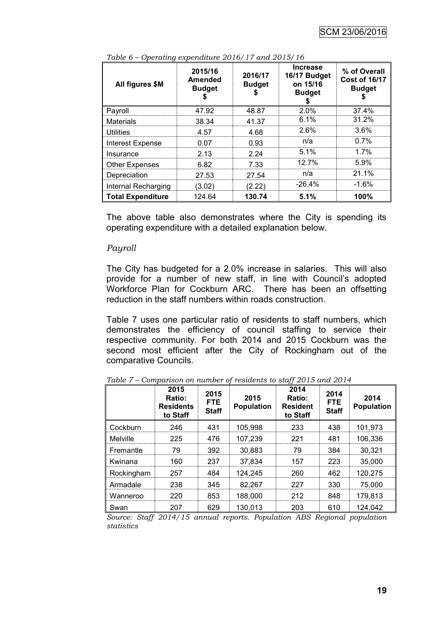| All figures \$M          | 2015/16<br><b>Amended</b><br><b>Budget</b> | 2016/17<br><b>Budget</b> | <b>Increase</b><br>16/17 Budget<br>on 15/16<br><b>Budget</b> | % of Overall<br><b>Cost of 16/17</b><br><b>Budget</b> |
|--------------------------|--------------------------------------------|--------------------------|--------------------------------------------------------------|-------------------------------------------------------|
| Payroll                  | 47.92                                      | 48.87                    | 2.0%                                                         | 37.4%                                                 |
| <b>Materials</b>         | 38.34                                      | 41.37                    | 6.1%                                                         | $31.2\%$                                              |
| Utilities                | 4.57                                       | 4.68                     | 2.6%                                                         | $3.6\%$                                               |
| <b>Interest Expense</b>  | 0.07                                       | 0.93                     | n/a                                                          | $0.7\%$                                               |
| Insurance                | 2.13                                       | 2.24                     | $5.1\%$                                                      | $1.7\%$                                               |
| <b>Other Expenses</b>    | 6.82                                       | 7.33                     | 12.7%                                                        | $5.9\%$                                               |
| Depreciation             | 27.53                                      | 27.54                    | n/a                                                          | 21.1%                                                 |
| Internal Recharging      | (3.02)                                     | (2.22)                   | $-26.4%$                                                     | -1.6%                                                 |
| <b>Total Expenditure</b> | 124.64                                     | 130.74                   | 5.1%                                                         | 100%                                                  |

*Table 6 – Operating expenditure 2016/17 and 2015/16*

The above table also demonstrates where the City is spending its operating expenditure with a detailed explanation below.

#### *Payroll*

The City has budgeted for a 2.0% increase in salaries. This will also provide for a number of new staff, in line with Council's adopted Workforce Plan for Cockburn ARC. There has been an offsetting reduction in the staff numbers within roads construction.

Table 7 uses one particular ratio of residents to staff numbers, which demonstrates the efficiency of council staffing to service their respective community. For both 2014 and 2015 Cockburn was the second most efficient after the City of Rockingham out of the comparative Councils.

|                 | 2015<br>Ratio:<br><b>Residents</b><br>to Staff | 2015<br><b>FTE</b><br><b>Staff</b> | 2015<br><b>Population</b> | 2014<br><b>Ratio:</b><br><b>Resident</b><br>to Staff | 2014<br><b>FTE</b><br><b>Staff</b> | 2014<br><b>Population</b> |
|-----------------|------------------------------------------------|------------------------------------|---------------------------|------------------------------------------------------|------------------------------------|---------------------------|
| Cockburn        | 246                                            | 431                                | 105,998                   | 233                                                  | 438                                | 101,973                   |
| <b>Melville</b> | 225                                            | 476                                | 107,239                   | 221                                                  | 481                                | 106,336                   |
| Fremantle       | 79                                             | 392                                | 30,883                    | 79                                                   | 384                                | 30,321                    |
| Kwinana         | 160                                            | 237                                | 37,834                    | 157                                                  | 223                                | 35,000                    |
| Rockingham      | 257                                            | 484                                | 124,245                   | 260                                                  | 462                                | 120,275                   |
| Armadale        | 238                                            | 345                                | 82,267                    | 227                                                  | 330                                | 75,000                    |
| Wanneroo        | 220                                            | 853                                | 188,000                   | 212                                                  | 848                                | 179,813                   |
| Swan            | 207                                            | 629                                | 130,013                   | 203                                                  | 610                                | 124,042                   |

*Table 7 – Comparison on number of residents to staff 2015 and 2014*

*Source: Staff 2014/15 annual reports. Population ABS Regional population statistics*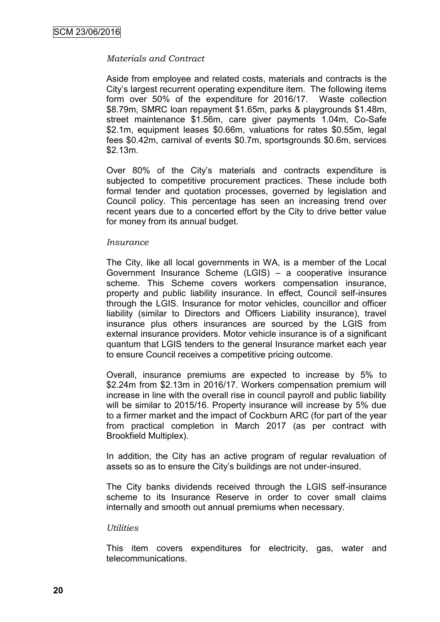## *Materials and Contract*

Aside from employee and related costs, materials and contracts is the City's largest recurrent operating expenditure item. The following items form over 50% of the expenditure for 2016/17. Waste collection \$8.79m, SMRC loan repayment \$1.65m, parks & playgrounds \$1.48m, street maintenance \$1.56m, care giver payments 1.04m, Co-Safe \$2.1m, equipment leases \$0.66m, valuations for rates \$0.55m, legal fees \$0.42m, carnival of events \$0.7m, sportsgrounds \$0.6m, services \$2.13m.

Over 80% of the City's materials and contracts expenditure is subjected to competitive procurement practices. These include both formal tender and quotation processes, governed by legislation and Council policy. This percentage has seen an increasing trend over recent years due to a concerted effort by the City to drive better value for money from its annual budget.

#### *Insurance*

The City, like all local governments in WA, is a member of the Local Government Insurance Scheme (LGIS) – a cooperative insurance scheme. This Scheme covers workers compensation insurance, property and public liability insurance. In effect, Council self-insures through the LGIS. Insurance for motor vehicles, councillor and officer liability (similar to Directors and Officers Liability insurance), travel insurance plus others insurances are sourced by the LGIS from external insurance providers. Motor vehicle insurance is of a significant quantum that LGIS tenders to the general Insurance market each year to ensure Council receives a competitive pricing outcome.

Overall, insurance premiums are expected to increase by 5% to \$2.24m from \$2.13m in 2016/17. Workers compensation premium will increase in line with the overall rise in council payroll and public liability will be similar to 2015/16. Property insurance will increase by 5% due to a firmer market and the impact of Cockburn ARC (for part of the year from practical completion in March 2017 (as per contract with Brookfield Multiplex).

In addition, the City has an active program of regular revaluation of assets so as to ensure the City's buildings are not under-insured.

The City banks dividends received through the LGIS self-insurance scheme to its Insurance Reserve in order to cover small claims internally and smooth out annual premiums when necessary.

#### *Utilities*

This item covers expenditures for electricity, gas, water and telecommunications.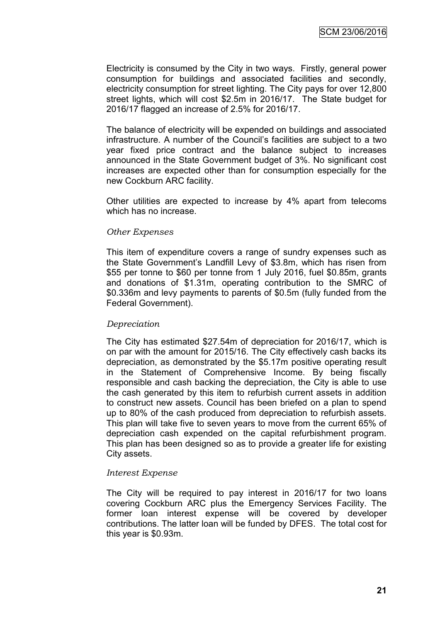Electricity is consumed by the City in two ways. Firstly, general power consumption for buildings and associated facilities and secondly, electricity consumption for street lighting. The City pays for over 12,800 street lights, which will cost \$2.5m in 2016/17. The State budget for 2016/17 flagged an increase of 2.5% for 2016/17.

The balance of electricity will be expended on buildings and associated infrastructure. A number of the Council's facilities are subject to a two year fixed price contract and the balance subject to increases announced in the State Government budget of 3%. No significant cost increases are expected other than for consumption especially for the new Cockburn ARC facility.

Other utilities are expected to increase by 4% apart from telecoms which has no increase.

#### *Other Expenses*

This item of expenditure covers a range of sundry expenses such as the State Government's Landfill Levy of \$3.8m, which has risen from \$55 per tonne to \$60 per tonne from 1 July 2016, fuel \$0.85m, grants and donations of \$1.31m, operating contribution to the SMRC of \$0.336m and levy payments to parents of \$0.5m (fully funded from the Federal Government).

#### *Depreciation*

The City has estimated \$27.54m of depreciation for 2016/17, which is on par with the amount for 2015/16. The City effectively cash backs its depreciation, as demonstrated by the \$5.17m positive operating result in the Statement of Comprehensive Income. By being fiscally responsible and cash backing the depreciation, the City is able to use the cash generated by this item to refurbish current assets in addition to construct new assets. Council has been briefed on a plan to spend up to 80% of the cash produced from depreciation to refurbish assets. This plan will take five to seven years to move from the current 65% of depreciation cash expended on the capital refurbishment program. This plan has been designed so as to provide a greater life for existing City assets.

#### *Interest Expense*

The City will be required to pay interest in 2016/17 for two loans covering Cockburn ARC plus the Emergency Services Facility. The former loan interest expense will be covered by developer contributions. The latter loan will be funded by DFES. The total cost for this year is \$0.93m.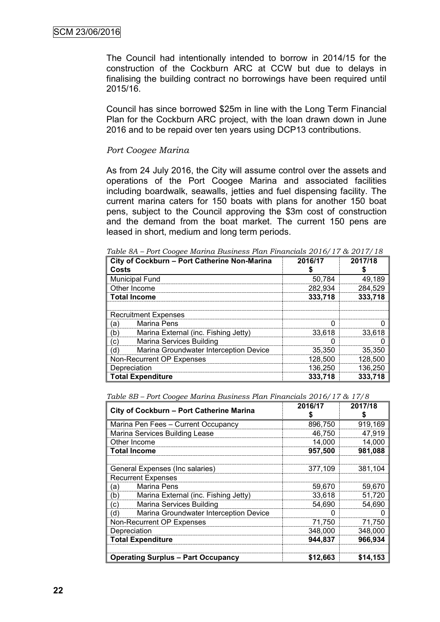The Council had intentionally intended to borrow in 2014/15 for the construction of the Cockburn ARC at CCW but due to delays in finalising the building contract no borrowings have been required until 2015/16.

Council has since borrowed \$25m in line with the Long Term Financial Plan for the Cockburn ARC project, with the loan drawn down in June 2016 and to be repaid over ten years using DCP13 contributions.

#### *Port Coogee Marina*

As from 24 July 2016, the City will assume control over the assets and operations of the Port Coogee Marina and associated facilities including boardwalk, seawalls, jetties and fuel dispensing facility. The current marina caters for 150 boats with plans for another 150 boat pens, subject to the Council approving the \$3m cost of construction and the demand from the boat market. The current 150 pens are leased in short, medium and long term periods.

| City of Cockburn - Port Catherine Non-Marina<br>Costs | 2016/17 | 2017/18 |
|-------------------------------------------------------|---------|---------|
| <b>Municipal Fund</b>                                 | 50,784  | 49,189  |
| Other Income                                          | 282,934 | 284,529 |
| <b>Total Income</b>                                   | 333,718 | 333,718 |
| <b>Recruitment Expenses</b>                           |         |         |
| <b>Marina Pens</b><br>(a)                             |         |         |
| (b)<br>Marina External (inc. Fishing Jetty)           | 33.618  | 33.618  |
| <b>Marina Services Building</b><br>C)                 |         |         |
| (d<br>Marina Groundwater Interception Device          | 35,350  | 35,350  |
| Non-Recurrent OP Expenses                             | 128,500 | 128,500 |
| Depreciation                                          | 136,250 | 136,250 |
| <b>Total Expenditure</b>                              | 333,718 | 333,718 |

*Table 8A – Port Coogee Marina Business Plan Financials 2016/17 & 2017/18*

*Table 8B – Port Coogee Marina Business Plan Financials 2016/17 & 17/8*

| City of Cockburn - Port Catherine Marina      | 2016/17  | 2017/18  |
|-----------------------------------------------|----------|----------|
| Marina Pen Fees - Current Occupancy           | 896,750  | 919,169  |
| Marina Services Building Lease                | 46,750   | 47,919   |
| Other Income                                  | 14,000   | 14,000   |
| <b>Total Income</b>                           | 957,500  | 981,088  |
|                                               |          |          |
| General Expenses (Inc salaries)               | 377,109  | 381,104  |
| <b>Recurrent Expenses</b>                     |          |          |
| Marina Pens<br>(a)                            | 59,670   | 59,670   |
| (b)<br>Marina External (inc. Fishing Jetty)   | 33,618   | 51,720   |
| <b>Marina Services Building</b><br>(c)        | 54,690   | 54,690   |
| (d)<br>Marina Groundwater Interception Device |          |          |
| Non-Recurrent OP Expenses                     | 71,750   | 71,750   |
| Depreciation                                  | 348,000  | 348,000  |
| <b>Total Expenditure</b>                      | 944,837  | 966,934  |
|                                               |          |          |
| <b>Operating Surplus – Part Occupancy</b>     | \$12.663 | \$14.153 |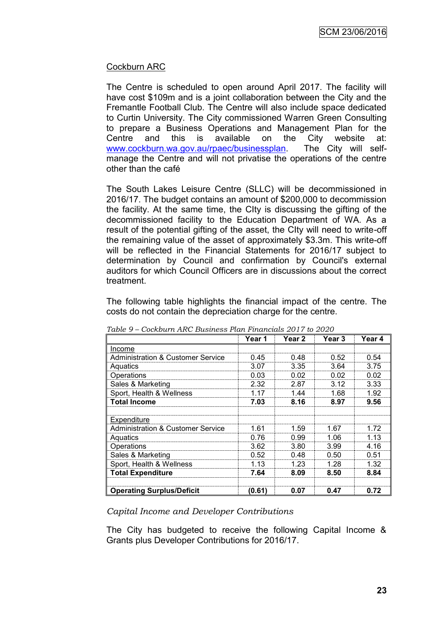## Cockburn ARC

The Centre is scheduled to open around April 2017. The facility will have cost \$109m and is a joint collaboration between the City and the Fremantle Football Club. The Centre will also include space dedicated to Curtin University. The City commissioned Warren Green Consulting to prepare a Business Operations and Management Plan for the Centre and this is available on the City website at: [www.cockburn.wa.gov.au/rpaec/businessplan.](http://www.cockburn.wa.gov.au/rpaec/businessplan) The City will selfmanage the Centre and will not privatise the operations of the centre other than the café

The South Lakes Leisure Centre (SLLC) will be decommissioned in 2016/17. The budget contains an amount of \$200,000 to decommission the facility. At the same time, the CIty is discussing the gifting of the decommissioned facility to the Education Department of WA. As a result of the potential gifting of the asset, the CIty will need to write-off the remaining value of the asset of approximately \$3.3m. This write-off will be reflected in the Financial Statements for 2016/17 subject to determination by Council and confirmation by Council's external auditors for which Council Officers are in discussions about the correct treatment.

The following table highlights the financial impact of the centre. The costs do not contain the depreciation charge for the centre.

|                                              | Year 1 | Year 2 | Year 3 | Year 4 |
|----------------------------------------------|--------|--------|--------|--------|
| Income                                       |        |        |        |        |
| <b>Administration &amp; Customer Service</b> | 0.45   | 0.48   | 0.52   | 0.54   |
| Aquatics                                     | 3.07   | 3.35   | 3.64   | 3.75   |
| Operations                                   | 0.03   | 0.02   | 0.02   | 0.02   |
| Sales & Marketing                            | 2.32   | 2.87   | 3.12   | 3.33   |
| Sport, Health & Wellness                     | 1.17   | 1.44   | 1.68   | 1.92   |
| <b>Total Income</b>                          | 7.03   | 8.16   | 8.97   | 9.56   |
|                                              |        |        |        |        |
| Expenditure                                  |        |        |        |        |
| <b>Administration &amp; Customer Service</b> | 1.61   | 1.59   | 1.67   | 1.72   |
| Aquatics                                     | 0.76   | 0.99   | 1.06   | 1.13   |
| Operations                                   | 3.62   | 3.80   | 3.99   | 4.16   |
| Sales & Marketing                            | 0.52   | 0.48   | 0.50   | 0.51   |
| Sport, Health & Wellness                     | 1.13   | 1.23   | 1.28   | 1.32   |
| <b>Total Expenditure</b>                     | 7.64   | 8.09   | 8.50   | 8.84   |
| <b>Operating Surplus/Deficit</b>             | (0.61) | 0.07   | 0.47   | 0.72   |

*Table 9 – Cockburn ARC Business Plan Financials 2017 to 2020*

*Capital Income and Developer Contributions*

The City has budgeted to receive the following Capital Income & Grants plus Developer Contributions for 2016/17.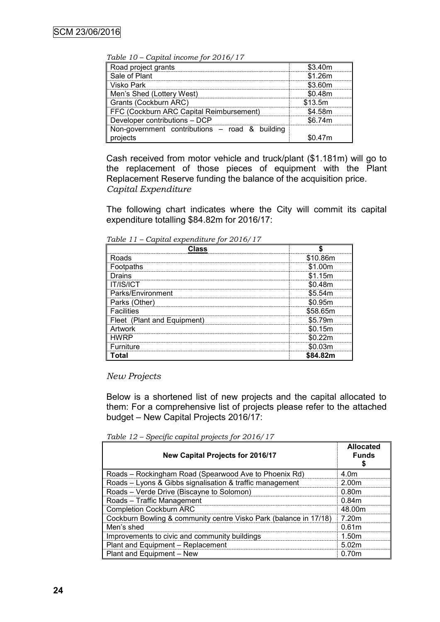*Table 10 – Capital income for 2016/17*

| $\frac{1}{2}$                                  |         |
|------------------------------------------------|---------|
| Road project grants                            | \$3.40m |
| Sale of Plant                                  | \$1.26m |
| Visko Park                                     | \$3.60m |
| Men's Shed (Lottery West)                      | \$0.48m |
| Grants (Cockburn ARC)                          | \$13.5m |
| FFC (Cockburn ARC Capital Reimbursement)       | \$4.58m |
| Developer contributions – DCP                  | \$6.74m |
| Non-government contributions – road & building |         |
| projects                                       | 0.47m   |

Cash received from motor vehicle and truck/plant (\$1.181m) will go to the replacement of those pieces of equipment with the Plant Replacement Reserve funding the balance of the acquisition price. *Capital Expenditure*

The following chart indicates where the City will commit its capital expenditure totalling \$84.82m for 2016/17:

*Table 11 – Capital expenditure for 2016/17*

| Class                       |             |
|-----------------------------|-------------|
| Roads                       | \$10.86m    |
| Footpaths                   | 1 00m       |
| Drains                      | \$1.15m     |
| T/IS/ICT                    | 48m         |
| Parks/Environment           | \$5.54m<br> |
| Parks (Other)               | \$0.95m     |
| <b>Facilities</b>           | \$58.65m    |
| Fleet (Plant and Equipment) | \$5.79m<br> |
| rtwork                      | \$0.15m     |
| NRP                         |             |
| Furniture                   | :0.03m      |
| ั∩tal                       | S84.82m     |

*New Projects*

Below is a shortened list of new projects and the capital allocated to them: For a comprehensive list of projects please refer to the attached budget – New Capital Projects 2016/17:

*Table 12 – Specific capital projects for 2016/17*

| New Capital Projects for 2016/17                                  | <b>Allocated</b><br><b>Funds</b> |
|-------------------------------------------------------------------|----------------------------------|
| Roads - Rockingham Road (Spearwood Ave to Phoenix Rd)             | 4 0 <sub>m</sub>                 |
| Roads - Lyons & Gibbs signalisation & traffic management          | 2.00m                            |
| Roads - Verde Drive (Biscayne to Solomon)                         | 0.80m                            |
| Roads - Traffic Management                                        | 0.84m                            |
| <b>Completion Cockburn ARC</b>                                    | 48.00m                           |
| Cockburn Bowling & community centre Visko Park (balance in 17/18) | 7.20m                            |
| Men's shed                                                        | 0.61 <sub>m</sub>                |
| Improvements to civic and community buildings                     | 1.50m                            |
| Plant and Equipment - Replacement                                 | 5.02m                            |
| Plant and Equipment - New                                         | 0.70m                            |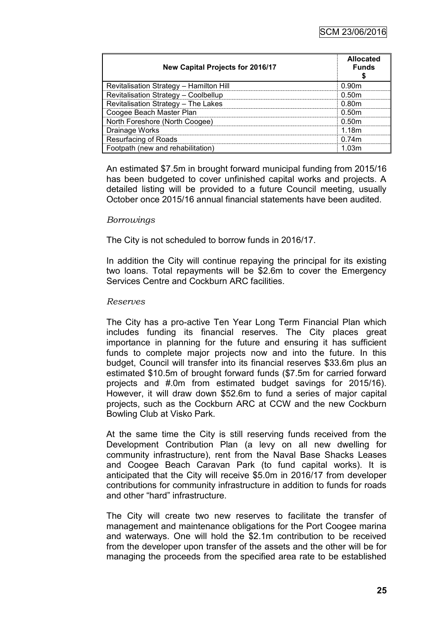| New Capital Projects for 2016/17        | <b>Allocated</b><br><b>Funds</b> |
|-----------------------------------------|----------------------------------|
| Revitalisation Strategy - Hamilton Hill | N 90m                            |
| Revitalisation Strategy - Coolbellup    | 0.50m                            |
| Revitalisation Strategy - The Lakes     | 0.80m                            |
| Coogee Beach Master Plan                | 0.50m                            |
| North Foreshore (North Coogee)          | 0.50m                            |
| Drainage Works                          | 1 18m                            |
| <b>Resurfacing of Roads</b>             | 0.74m                            |
| Footpath (new and rehabilitation)       | ∩?m                              |

An estimated \$7.5m in brought forward municipal funding from 2015/16 has been budgeted to cover unfinished capital works and projects. A detailed listing will be provided to a future Council meeting, usually October once 2015/16 annual financial statements have been audited.

#### *Borrowings*

The City is not scheduled to borrow funds in 2016/17.

In addition the City will continue repaying the principal for its existing two loans. Total repayments will be \$2.6m to cover the Emergency Services Centre and Cockburn ARC facilities.

#### *Reserves*

The City has a pro-active Ten Year Long Term Financial Plan which includes funding its financial reserves. The City places great importance in planning for the future and ensuring it has sufficient funds to complete major projects now and into the future. In this budget, Council will transfer into its financial reserves \$33.6m plus an estimated \$10.5m of brought forward funds (\$7.5m for carried forward projects and #.0m from estimated budget savings for 2015/16). However, it will draw down \$52.6m to fund a series of major capital projects, such as the Cockburn ARC at CCW and the new Cockburn Bowling Club at Visko Park.

At the same time the City is still reserving funds received from the Development Contribution Plan (a levy on all new dwelling for community infrastructure), rent from the Naval Base Shacks Leases and Coogee Beach Caravan Park (to fund capital works). It is anticipated that the City will receive \$5.0m in 2016/17 from developer contributions for community infrastructure in addition to funds for roads and other "hard" infrastructure.

The City will create two new reserves to facilitate the transfer of management and maintenance obligations for the Port Coogee marina and waterways. One will hold the \$2.1m contribution to be received from the developer upon transfer of the assets and the other will be for managing the proceeds from the specified area rate to be established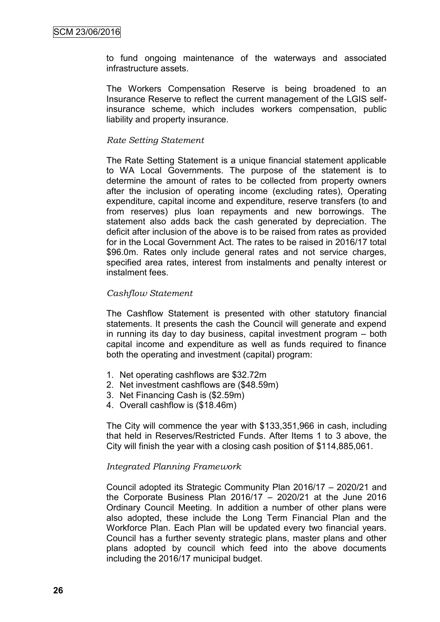to fund ongoing maintenance of the waterways and associated infrastructure assets.

The Workers Compensation Reserve is being broadened to an Insurance Reserve to reflect the current management of the LGIS selfinsurance scheme, which includes workers compensation, public liability and property insurance.

#### *Rate Setting Statement*

The Rate Setting Statement is a unique financial statement applicable to WA Local Governments. The purpose of the statement is to determine the amount of rates to be collected from property owners after the inclusion of operating income (excluding rates), Operating expenditure, capital income and expenditure, reserve transfers (to and from reserves) plus loan repayments and new borrowings. The statement also adds back the cash generated by depreciation. The deficit after inclusion of the above is to be raised from rates as provided for in the Local Government Act. The rates to be raised in 2016/17 total \$96.0m. Rates only include general rates and not service charges, specified area rates, interest from instalments and penalty interest or instalment fees.

## *Cashflow Statement*

The Cashflow Statement is presented with other statutory financial statements. It presents the cash the Council will generate and expend in running its day to day business, capital investment program – both capital income and expenditure as well as funds required to finance both the operating and investment (capital) program:

- 1. Net operating cashflows are \$32.72m
- 2. Net investment cashflows are (\$48.59m)
- 3. Net Financing Cash is (\$2.59m)
- 4. Overall cashflow is (\$18.46m)

The City will commence the year with \$133,351,966 in cash, including that held in Reserves/Restricted Funds. After Items 1 to 3 above, the City will finish the year with a closing cash position of \$114,885,061.

#### *Integrated Planning Framework*

Council adopted its Strategic Community Plan 2016/17 – 2020/21 and the Corporate Business Plan  $2016/17 - 2020/21$  at the June  $2016$ Ordinary Council Meeting. In addition a number of other plans were also adopted, these include the Long Term Financial Plan and the Workforce Plan. Each Plan will be updated every two financial years. Council has a further seventy strategic plans, master plans and other plans adopted by council which feed into the above documents including the 2016/17 municipal budget.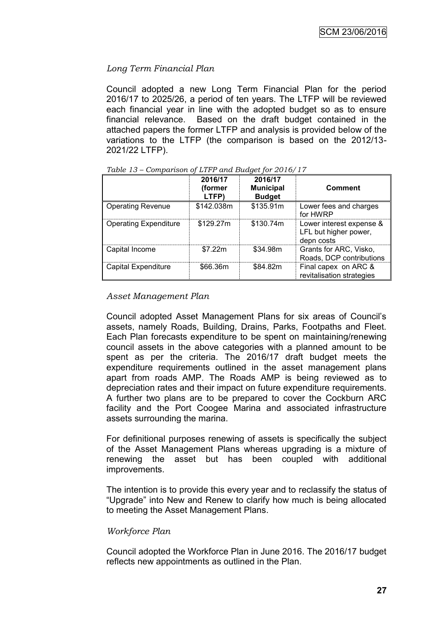## *Long Term Financial Plan*

Council adopted a new Long Term Financial Plan for the period 2016/17 to 2025/26, a period of ten years. The LTFP will be reviewed each financial year in line with the adopted budget so as to ensure financial relevance. Based on the draft budget contained in the attached papers the former LTFP and analysis is provided below of the variations to the LTFP (the comparison is based on the 2012/13- 2021/22 LTFP).

|                              | 2016/17<br>(former<br>LTFP) | 2016/17<br><b>Municipal</b><br><b>Budget</b> | <b>Comment</b>                                                  |
|------------------------------|-----------------------------|----------------------------------------------|-----------------------------------------------------------------|
| <b>Operating Revenue</b>     | \$142.038m                  | \$135.91m                                    | Lower fees and charges<br>for HWRP                              |
| <b>Operating Expenditure</b> | \$129.27m                   | \$130.74m                                    | Lower interest expense &<br>LFL but higher power,<br>depn costs |
| Capital Income               | \$7.22m                     | \$34.98m                                     | Grants for ARC, Visko,<br>Roads, DCP contributions              |
| Capital Expenditure          | \$66,36m                    | \$84.82m                                     | Final capex on ARC &<br>revitalisation strategies               |

*Table 13 – Comparison of LTFP and Budget for 2016/17*

#### *Asset Management Plan*

Council adopted Asset Management Plans for six areas of Council's assets, namely Roads, Building, Drains, Parks, Footpaths and Fleet. Each Plan forecasts expenditure to be spent on maintaining/renewing council assets in the above categories with a planned amount to be spent as per the criteria. The 2016/17 draft budget meets the expenditure requirements outlined in the asset management plans apart from roads AMP. The Roads AMP is being reviewed as to depreciation rates and their impact on future expenditure requirements. A further two plans are to be prepared to cover the Cockburn ARC facility and the Port Coogee Marina and associated infrastructure assets surrounding the marina.

For definitional purposes renewing of assets is specifically the subject of the Asset Management Plans whereas upgrading is a mixture of renewing the asset but has been coupled with additional improvements.

The intention is to provide this every year and to reclassify the status of "Upgrade" into New and Renew to clarify how much is being allocated to meeting the Asset Management Plans.

## *Workforce Plan*

Council adopted the Workforce Plan in June 2016. The 2016/17 budget reflects new appointments as outlined in the Plan.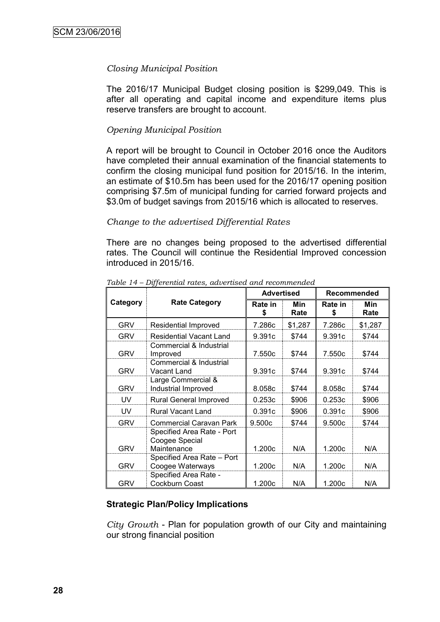### *Closing Municipal Position*

The 2016/17 Municipal Budget closing position is \$299,049. This is after all operating and capital income and expenditure items plus reserve transfers are brought to account.

#### *Opening Municipal Position*

A report will be brought to Council in October 2016 once the Auditors have completed their annual examination of the financial statements to confirm the closing municipal fund position for 2015/16. In the interim, an estimate of \$10.5m has been used for the 2016/17 opening position comprising \$7.5m of municipal funding for carried forward projects and \$3.0m of budget savings from 2015/16 which is allocated to reserves.

#### *Change to the advertised Differential Rates*

There are no changes being proposed to the advertised differential rates. The Council will continue the Residential Improved concession introduced in 2015/16.

|            |                                                             | <b>Advertised</b> |             | <b>Recommended</b> |             |
|------------|-------------------------------------------------------------|-------------------|-------------|--------------------|-------------|
| Category   | <b>Rate Category</b>                                        | Rate in<br>S      | Min<br>Rate | Rate in<br>S       | Min<br>Rate |
| GRV        | Residential Improved                                        | 7.286c            | \$1,287     | 7.286c             | \$1,287     |
| <b>GRV</b> | <b>Residential Vacant Land</b>                              | 9.391c            | \$744       | 9.391c             | \$744       |
| <b>GRV</b> | Commercial & Industrial<br>Improved                         | 7.550c            | \$744       | 7.550c             | \$744       |
| <b>GRV</b> | Commercial & Industrial<br>Vacant Land                      | 9.391c            | \$744       | 9.391c             | \$744       |
| <b>GRV</b> | Large Commercial &<br>Industrial Improved                   | 8.058c            | \$744       | 8.058c             | \$744       |
| UV         | <b>Rural General Improved</b>                               | 0.253c            | \$906       | 0.253c             | \$906       |
| <b>UV</b>  | <b>Rural Vacant Land</b>                                    | 0.391c            | \$906       | 0.391c             | \$906       |
| <b>GRV</b> | <b>Commercial Caravan Park</b>                              | 9.500c            | \$744       | 9.500c             | \$744       |
| <b>GRV</b> | Specified Area Rate - Port<br>Coogee Special<br>Maintenance | 1.200c            | N/A         | 1.200c             | N/A         |
| <b>GRV</b> | Specified Area Rate - Port<br>Coogee Waterways              | 1.200c            | N/A         | 1.200c             | N/A         |
| <b>GRV</b> | Specified Area Rate -<br>Cockburn Coast                     | 1.200c            | N/A         | 1.200c             | N/A         |

*Table 14 – Differential rates, advertised and recommended*

## **Strategic Plan/Policy Implications**

*City Growth* - Plan for population growth of our City and maintaining our strong financial position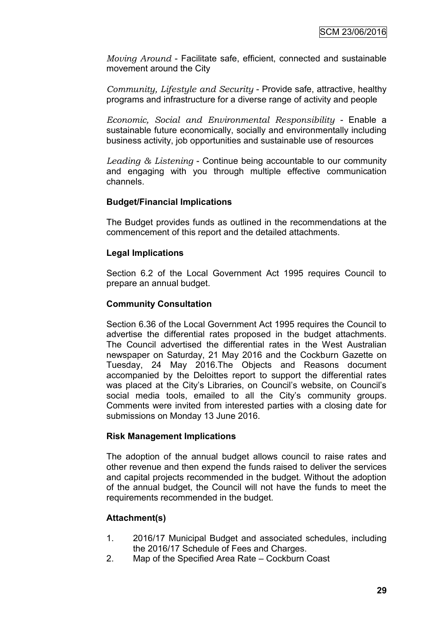*Moving Around* - Facilitate safe, efficient, connected and sustainable movement around the City

*Community, Lifestyle and Security* - Provide safe, attractive, healthy programs and infrastructure for a diverse range of activity and people

*Economic, Social and Environmental Responsibility* - Enable a sustainable future economically, socially and environmentally including business activity, job opportunities and sustainable use of resources

*Leading & Listening* - Continue being accountable to our community and engaging with you through multiple effective communication channels.

## **Budget/Financial Implications**

The Budget provides funds as outlined in the recommendations at the commencement of this report and the detailed attachments.

## **Legal Implications**

Section 6.2 of the Local Government Act 1995 requires Council to prepare an annual budget.

## **Community Consultation**

Section 6.36 of the Local Government Act 1995 requires the Council to advertise the differential rates proposed in the budget attachments. The Council advertised the differential rates in the West Australian newspaper on Saturday, 21 May 2016 and the Cockburn Gazette on Tuesday, 24 May 2016.The Objects and Reasons document accompanied by the Deloittes report to support the differential rates was placed at the City's Libraries, on Council's website, on Council's social media tools, emailed to all the City's community groups. Comments were invited from interested parties with a closing date for submissions on Monday 13 June 2016.

## **Risk Management Implications**

The adoption of the annual budget allows council to raise rates and other revenue and then expend the funds raised to deliver the services and capital projects recommended in the budget. Without the adoption of the annual budget, the Council will not have the funds to meet the requirements recommended in the budget.

## **Attachment(s)**

- 1. 2016/17 Municipal Budget and associated schedules, including the 2016/17 Schedule of Fees and Charges.
- 2. Map of the Specified Area Rate Cockburn Coast